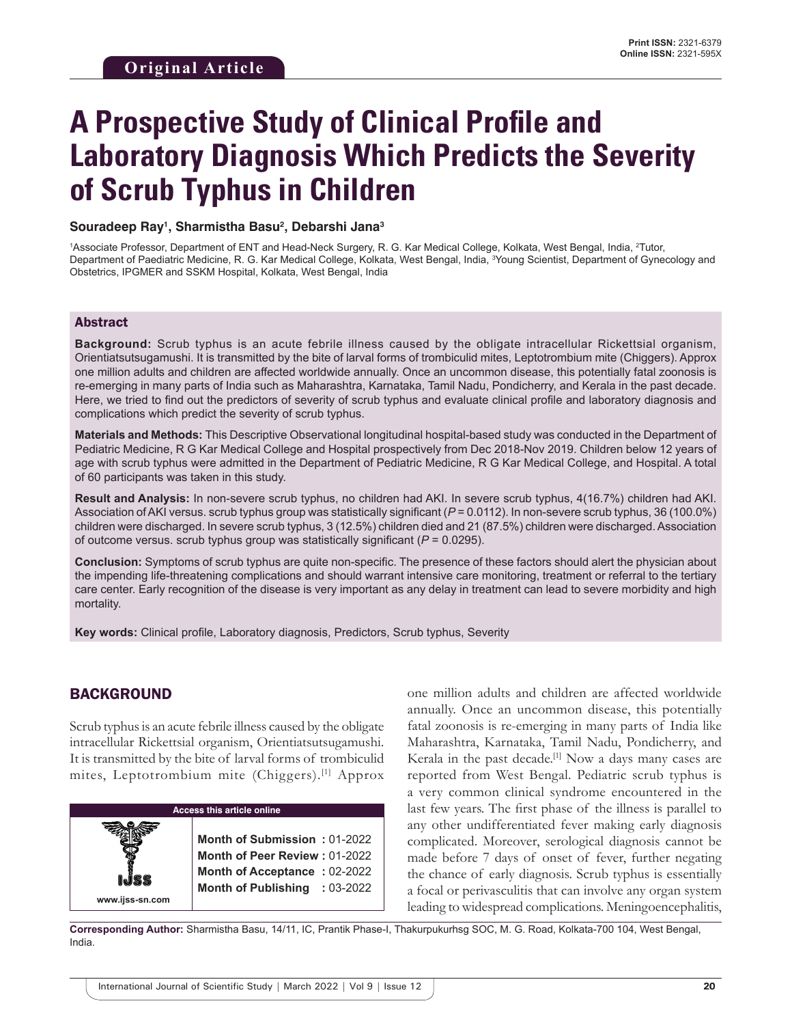# **A Prospective Study of Clinical Profile and Laboratory Diagnosis Which Predicts the Severity of Scrub Typhus in Children**

#### **Souradeep Ray1 , Sharmistha Basu2 , Debarshi Jana3**

<sup>1</sup>Associate Professor, Department of ENT and Head-Neck Surgery, R. G. Kar Medical College, Kolkata, West Bengal, India, <sup>2</sup>Tutor, Department of Paediatric Medicine, R. G. Kar Medical College, Kolkata, West Bengal, India, 3 Young Scientist, Department of Gynecology and Obstetrics, IPGMER and SSKM Hospital, Kolkata, West Bengal, India

#### Abstract

**Background:** Scrub typhus is an acute febrile illness caused by the obligate intracellular Rickettsial organism, Orientiatsutsugamushi. It is transmitted by the bite of larval forms of trombiculid mites, Leptotrombium mite (Chiggers). Approx one million adults and children are affected worldwide annually. Once an uncommon disease, this potentially fatal zoonosis is re-emerging in many parts of India such as Maharashtra, Karnataka, Tamil Nadu, Pondicherry, and Kerala in the past decade. Here, we tried to find out the predictors of severity of scrub typhus and evaluate clinical profile and laboratory diagnosis and complications which predict the severity of scrub typhus.

**Materials and Methods:** This Descriptive Observational longitudinal hospital-based study was conducted in the Department of Pediatric Medicine, R G Kar Medical College and Hospital prospectively from Dec 2018-Nov 2019. Children below 12 years of age with scrub typhus were admitted in the Department of Pediatric Medicine, R G Kar Medical College, and Hospital. A total of 60 participants was taken in this study.

**Result and Analysis:** In non-severe scrub typhus, no children had AKI. In severe scrub typhus, 4(16.7%) children had AKI. Association of AKI versus. scrub typhus group was statistically significant ( $P = 0.0112$ ). In non-severe scrub typhus, 36 (100.0%) children were discharged. In severe scrub typhus, 3 (12.5%) children died and 21 (87.5%) children were discharged. Association of outcome versus. scrub typhus group was statistically significant (*P* = 0.0295).

**Conclusion:** Symptoms of scrub typhus are quite non-specific. The presence of these factors should alert the physician about the impending life-threatening complications and should warrant intensive care monitoring, treatment or referral to the tertiary care center. Early recognition of the disease is very important as any delay in treatment can lead to severe morbidity and high mortality.

**Key words:** Clinical profile, Laboratory diagnosis, Predictors, Scrub typhus, Severity

### BACKGROUND

Scrub typhus is an acute febrile illness caused by the obligate intracellular Rickettsial organism, Orientiatsutsugamushi. It is transmitted by the bite of larval forms of trombiculid mites, Leptotrombium mite (Chiggers).[1] Approx



one million adults and children are affected worldwide annually. Once an uncommon disease, this potentially fatal zoonosis is re-emerging in many parts of India like Maharashtra, Karnataka, Tamil Nadu, Pondicherry, and Kerala in the past decade.<sup>[1]</sup> Now a days many cases are reported from West Bengal. Pediatric scrub typhus is a very common clinical syndrome encountered in the last few years. The first phase of the illness is parallel to any other undifferentiated fever making early diagnosis complicated. Moreover, serological diagnosis cannot be made before 7 days of onset of fever, further negating the chance of early diagnosis. Scrub typhus is essentially a focal or perivasculitis that can involve any organ system leading to widespread complications. Meningoencephalitis,

**Corresponding Author:** Sharmistha Basu, 14/11, IC, Prantik Phase-I, Thakurpukurhsg SOC, M. G. Road, Kolkata-700 104, West Bengal, India.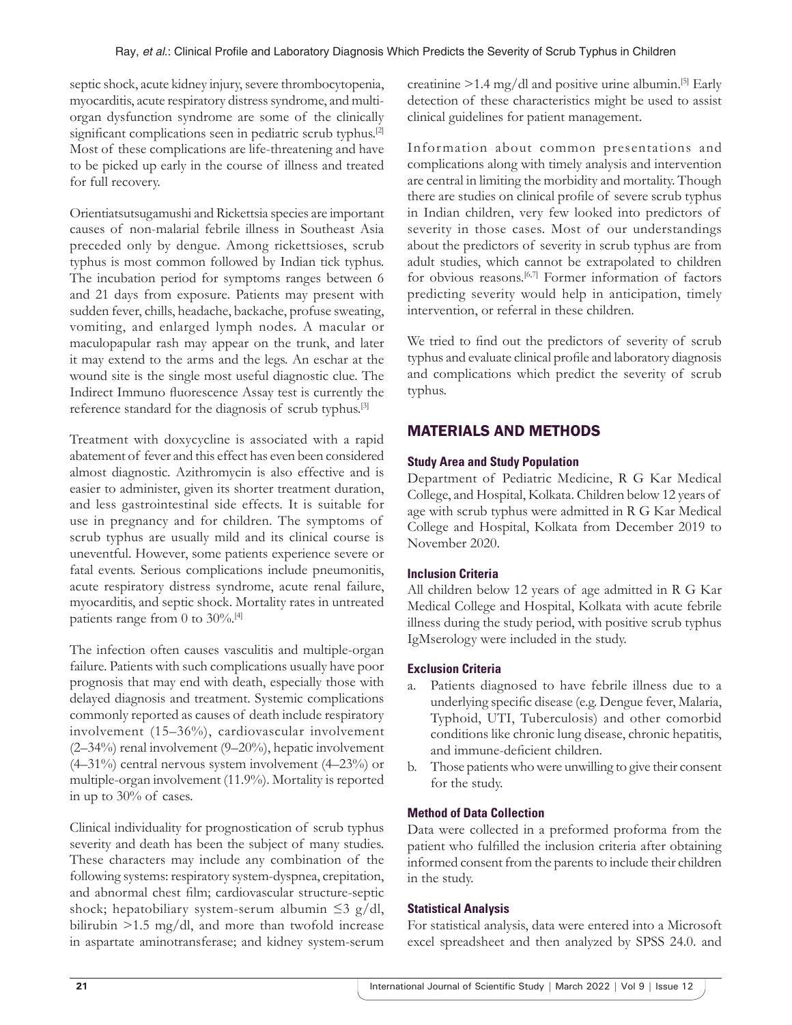septic shock, acute kidney injury, severe thrombocytopenia, myocarditis, acute respiratory distress syndrome, and multiorgan dysfunction syndrome are some of the clinically significant complications seen in pediatric scrub typhus.<sup>[2]</sup> Most of these complications are life-threatening and have to be picked up early in the course of illness and treated for full recovery.

Orientiatsutsugamushi and Rickettsia species are important causes of non-malarial febrile illness in Southeast Asia preceded only by dengue. Among rickettsioses, scrub typhus is most common followed by Indian tick typhus. The incubation period for symptoms ranges between 6 and 21 days from exposure. Patients may present with sudden fever, chills, headache, backache, profuse sweating, vomiting, and enlarged lymph nodes. A macular or maculopapular rash may appear on the trunk, and later it may extend to the arms and the legs. An eschar at the wound site is the single most useful diagnostic clue. The Indirect Immuno fluorescence Assay test is currently the reference standard for the diagnosis of scrub typhus.[3]

Treatment with doxycycline is associated with a rapid abatement of fever and this effect has even been considered almost diagnostic. Azithromycin is also effective and is easier to administer, given its shorter treatment duration, and less gastrointestinal side effects. It is suitable for use in pregnancy and for children. The symptoms of scrub typhus are usually mild and its clinical course is uneventful. However, some patients experience severe or fatal events. Serious complications include pneumonitis, acute respiratory distress syndrome, acute renal failure, myocarditis, and septic shock. Mortality rates in untreated patients range from 0 to 30%.<sup>[4]</sup>

The infection often causes vasculitis and multiple-organ failure. Patients with such complications usually have poor prognosis that may end with death, especially those with delayed diagnosis and treatment. Systemic complications commonly reported as causes of death include respiratory involvement (15–36%), cardiovascular involvement (2–34%) renal involvement (9–20%), hepatic involvement (4–31%) central nervous system involvement (4–23%) or multiple-organ involvement (11.9%). Mortality is reported in up to 30% of cases.

Clinical individuality for prognostication of scrub typhus severity and death has been the subject of many studies. These characters may include any combination of the following systems: respiratory system-dyspnea, crepitation, and abnormal chest film; cardiovascular structure-septic shock; hepatobiliary system-serum albumin  $\leq$ 3 g/dl, bilirubin >1.5 mg/dl, and more than twofold increase in aspartate aminotransferase; and kidney system-serum

creatinine  $>1.4$  mg/dl and positive urine albumin.<sup>[5]</sup> Early detection of these characteristics might be used to assist clinical guidelines for patient management.

Information about common presentations and complications along with timely analysis and intervention are central in limiting the morbidity and mortality. Though there are studies on clinical profile of severe scrub typhus in Indian children, very few looked into predictors of severity in those cases. Most of our understandings about the predictors of severity in scrub typhus are from adult studies, which cannot be extrapolated to children for obvious reasons.[6,7] Former information of factors predicting severity would help in anticipation, timely intervention, or referral in these children.

We tried to find out the predictors of severity of scrub typhus and evaluate clinical profile and laboratory diagnosis and complications which predict the severity of scrub typhus.

## MATERIALS AND METHODS

## **Study Area and Study Population**

Department of Pediatric Medicine, R G Kar Medical College, and Hospital, Kolkata. Children below 12 years of age with scrub typhus were admitted in R G Kar Medical College and Hospital, Kolkata from December 2019 to November 2020.

### **Inclusion Criteria**

All children below 12 years of age admitted in R G Kar Medical College and Hospital, Kolkata with acute febrile illness during the study period, with positive scrub typhus IgMserology were included in the study.

### **Exclusion Criteria**

- a. Patients diagnosed to have febrile illness due to a underlying specific disease (e.g. Dengue fever, Malaria, Typhoid, UTI, Tuberculosis) and other comorbid conditions like chronic lung disease, chronic hepatitis, and immune-deficient children.
- b. Those patients who were unwilling to give their consent for the study.

### **Method of Data Collection**

Data were collected in a preformed proforma from the patient who fulfilled the inclusion criteria after obtaining informed consent from the parents to include their children in the study.

### **Statistical Analysis**

For statistical analysis, data were entered into a Microsoft excel spreadsheet and then analyzed by SPSS 24.0. and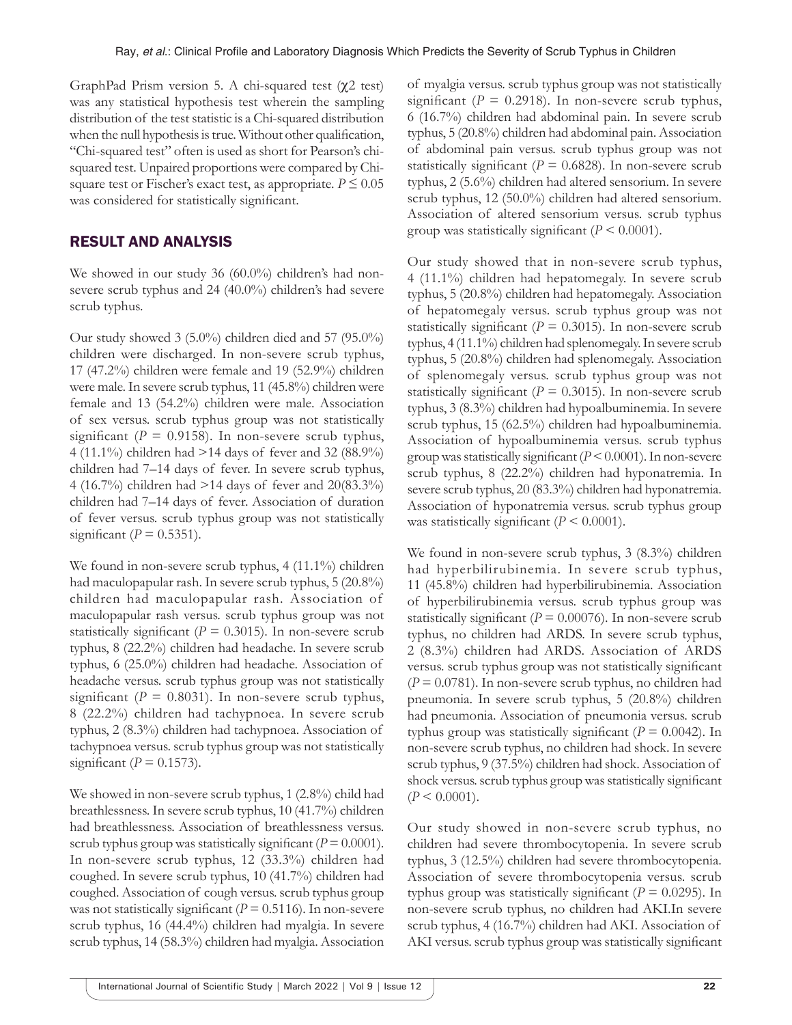GraphPad Prism version 5. A chi-squared test (χ2 test) was any statistical hypothesis test wherein the sampling distribution of the test statistic is a Chi-squared distribution when the null hypothesis is true. Without other qualification, "Chi-squared test" often is used as short for Pearson's chisquared test. Unpaired proportions were compared by Chisquare test or Fischer's exact test, as appropriate.  $P \le 0.05$ was considered for statistically significant.

## RESULT AND ANALYSIS

We showed in our study 36 (60.0%) children's had nonsevere scrub typhus and 24 (40.0%) children's had severe scrub typhus.

Our study showed 3 (5.0%) children died and 57 (95.0%) children were discharged. In non-severe scrub typhus, 17 (47.2%) children were female and 19 (52.9%) children were male. In severe scrub typhus, 11 (45.8%) children were female and 13 (54.2%) children were male. Association of sex versus. scrub typhus group was not statistically significant  $(P = 0.9158)$ . In non-severe scrub typhus, 4 (11.1%) children had >14 days of fever and 32 (88.9%) children had 7–14 days of fever. In severe scrub typhus, 4 (16.7%) children had >14 days of fever and 20(83.3%) children had 7–14 days of fever. Association of duration of fever versus. scrub typhus group was not statistically significant ( $P = 0.5351$ ).

We found in non-severe scrub typhus, 4 (11.1%) children had maculopapular rash. In severe scrub typhus, 5 (20.8%) children had maculopapular rash. Association of maculopapular rash versus. scrub typhus group was not statistically significant ( $P = 0.3015$ ). In non-severe scrub typhus, 8 (22.2%) children had headache. In severe scrub typhus, 6 (25.0%) children had headache. Association of headache versus. scrub typhus group was not statistically significant ( $P = 0.8031$ ). In non-severe scrub typhus, 8 (22.2%) children had tachypnoea. In severe scrub typhus, 2 (8.3%) children had tachypnoea. Association of tachypnoea versus. scrub typhus group was not statistically significant ( $P = 0.1573$ ).

We showed in non-severe scrub typhus, 1 (2.8%) child had breathlessness. In severe scrub typhus, 10 (41.7%) children had breathlessness. Association of breathlessness versus. scrub typhus group was statistically significant  $(P = 0.0001)$ . In non-severe scrub typhus, 12 (33.3%) children had coughed. In severe scrub typhus, 10 (41.7%) children had coughed. Association of cough versus. scrub typhus group was not statistically significant ( $P = 0.5116$ ). In non-severe scrub typhus, 16 (44.4%) children had myalgia. In severe scrub typhus, 14 (58.3%) children had myalgia. Association

of myalgia versus. scrub typhus group was not statistically significant ( $P = 0.2918$ ). In non-severe scrub typhus, 6 (16.7%) children had abdominal pain. In severe scrub typhus, 5 (20.8%) children had abdominal pain. Association of abdominal pain versus. scrub typhus group was not statistically significant ( $P = 0.6828$ ). In non-severe scrub typhus, 2 (5.6%) children had altered sensorium. In severe scrub typhus, 12 (50.0%) children had altered sensorium. Association of altered sensorium versus. scrub typhus group was statistically significant  $(P < 0.0001)$ .

Our study showed that in non-severe scrub typhus, 4 (11.1%) children had hepatomegaly. In severe scrub typhus, 5 (20.8%) children had hepatomegaly. Association of hepatomegaly versus. scrub typhus group was not statistically significant ( $P = 0.3015$ ). In non-severe scrub typhus, 4 (11.1%) children had splenomegaly. In severe scrub typhus, 5 (20.8%) children had splenomegaly. Association of splenomegaly versus. scrub typhus group was not statistically significant ( $P = 0.3015$ ). In non-severe scrub typhus, 3 (8.3%) children had hypoalbuminemia. In severe scrub typhus, 15 (62.5%) children had hypoalbuminemia. Association of hypoalbuminemia versus. scrub typhus group was statistically significant (*P* < 0.0001). In non-severe scrub typhus, 8 (22.2%) children had hyponatremia. In severe scrub typhus, 20 (83.3%) children had hyponatremia. Association of hyponatremia versus. scrub typhus group was statistically significant  $(P \le 0.0001)$ .

We found in non-severe scrub typhus, 3 (8.3%) children had hyperbilirubinemia. In severe scrub typhus, 11 (45.8%) children had hyperbilirubinemia. Association of hyperbilirubinemia versus. scrub typhus group was statistically significant ( $P = 0.00076$ ). In non-severe scrub typhus, no children had ARDS. In severe scrub typhus, 2 (8.3%) children had ARDS. Association of ARDS versus. scrub typhus group was not statistically significant (*P* = 0.0781). In non-severe scrub typhus, no children had pneumonia. In severe scrub typhus, 5 (20.8%) children had pneumonia. Association of pneumonia versus. scrub typhus group was statistically significant ( $P = 0.0042$ ). In non-severe scrub typhus, no children had shock. In severe scrub typhus, 9 (37.5%) children had shock. Association of shock versus. scrub typhus group was statistically significant  $(P < 0.0001)$ .

Our study showed in non-severe scrub typhus, no children had severe thrombocytopenia. In severe scrub typhus, 3 (12.5%) children had severe thrombocytopenia. Association of severe thrombocytopenia versus. scrub typhus group was statistically significant ( $P = 0.0295$ ). In non-severe scrub typhus, no children had AKI.In severe scrub typhus, 4 (16.7%) children had AKI. Association of AKI versus. scrub typhus group was statistically significant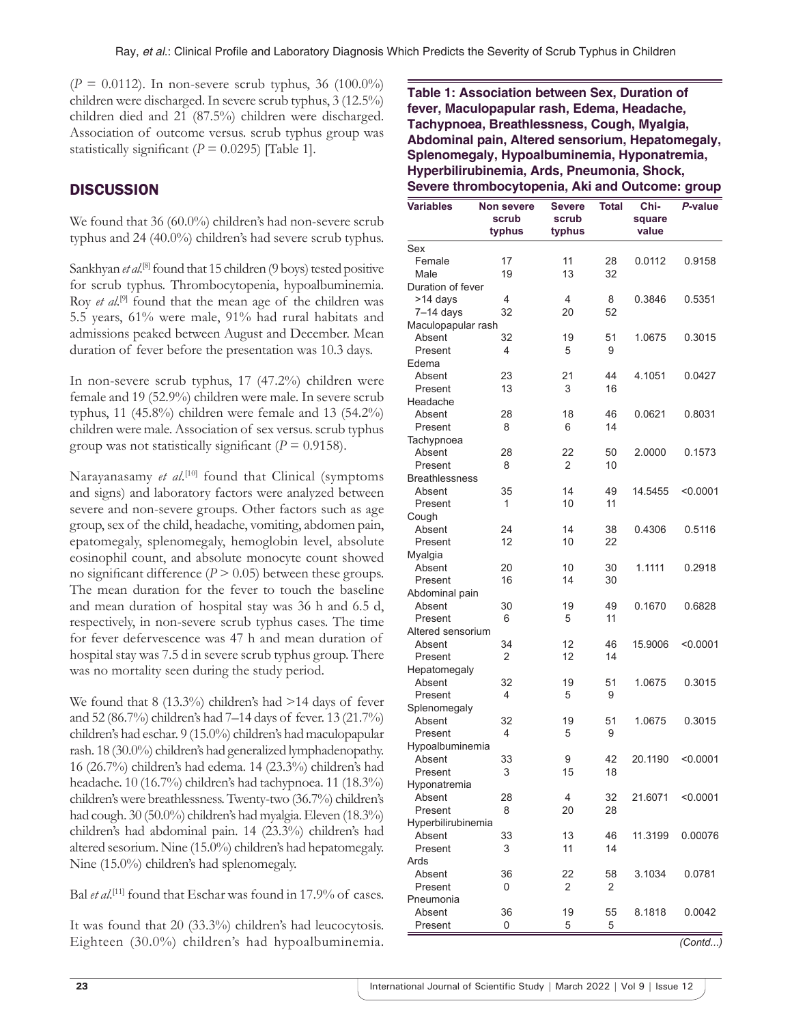$(P = 0.0112)$ . In non-severe scrub typhus, 36 (100.0%) children were discharged. In severe scrub typhus, 3 (12.5%) children died and 21 (87.5%) children were discharged. Association of outcome versus. scrub typhus group was statistically significant  $(P = 0.0295)$  [Table 1].

# **DISCUSSION**

We found that 36 (60.0%) children's had non-severe scrub typhus and 24 (40.0%) children's had severe scrub typhus.

Sankhyan *et al.*<sup>[8]</sup> found that 15 children (9 boys) tested positive for scrub typhus. Thrombocytopenia, hypoalbuminemia. Roy *et al.*<sup>[9]</sup> found that the mean age of the children was 5.5 years, 61% were male, 91% had rural habitats and admissions peaked between August and December. Mean duration of fever before the presentation was 10.3 days.

In non-severe scrub typhus, 17 (47.2%) children were female and 19 (52.9%) children were male. In severe scrub typhus, 11 (45.8%) children were female and 13 (54.2%) children were male. Association of sex versus. scrub typhus group was not statistically significant ( $P = 0.9158$ ).

Narayanasamy *et al.*<sup>[10]</sup> found that Clinical (symptoms and signs) and laboratory factors were analyzed between severe and non-severe groups. Other factors such as age group, sex of the child, headache, vomiting, abdomen pain, epatomegaly, splenomegaly, hemoglobin level, absolute eosinophil count, and absolute monocyte count showed no significant difference  $(P > 0.05)$  between these groups. The mean duration for the fever to touch the baseline and mean duration of hospital stay was 36 h and 6.5 d, respectively, in non-severe scrub typhus cases. The time for fever defervescence was 47 h and mean duration of hospital stay was 7.5 d in severe scrub typhus group. There was no mortality seen during the study period.

We found that 8 (13.3%) children's had >14 days of fever and 52 (86.7%) children's had 7–14 days of fever. 13 (21.7%) children's had eschar. 9 (15.0%) children's had maculopapular rash. 18 (30.0%) children's had generalized lymphadenopathy. 16 (26.7%) children's had edema. 14 (23.3%) children's had headache. 10 (16.7%) children's had tachypnoea. 11 (18.3%) children's were breathlessness. Twenty-two (36.7%) children's had cough. 30 (50.0%) children's had myalgia. Eleven (18.3%) children's had abdominal pain. 14 (23.3%) children's had altered sesorium. Nine (15.0%) children's had hepatomegaly. Nine (15.0%) children's had splenomegaly.

Bal *et al.*<sup>[11]</sup> found that Eschar was found in 17.9% of cases.

It was found that 20 (33.3%) children's had leucocytosis. Eighteen (30.0%) children's had hypoalbuminemia. **Table 1: Association between Sex, Duration of fever, Maculopapular rash, Edema, Headache, Tachypnoea, Breathlessness, Cough, Myalgia, Abdominal pain, Altered sensorium, Hepatomegaly, Splenomegaly, Hypoalbuminemia, Hyponatremia, Hyperbilirubinemia, Ards, Pneumonia, Shock, Severe thrombocytopenia, Aki and Outcome: group**

| <b>Variables</b>      | <b>Non severe</b><br>scrub<br>typhus | <b>Severe</b><br>scrub<br>typhus | <b>Total</b> | Chi-<br>square<br>value | P-value   |
|-----------------------|--------------------------------------|----------------------------------|--------------|-------------------------|-----------|
| Sex                   |                                      |                                  |              |                         |           |
| Female                | 17                                   | 11                               | 28           | 0.0112                  | 0.9158    |
| Male                  | 19                                   | 13                               | 32           |                         |           |
| Duration of fever     |                                      |                                  |              |                         |           |
| >14 days              | 4                                    | 4                                | 8            | 0.3846                  | 0.5351    |
| $7-14$ days           | 32                                   | 20                               | 52           |                         |           |
| Maculopapular rash    |                                      |                                  |              |                         |           |
| Absent                | 32                                   | 19                               | 51           | 1.0675                  | 0.3015    |
| Present               | 4                                    | 5                                | 9            |                         |           |
| Edema                 |                                      |                                  |              |                         |           |
| Absent                | 23                                   | 21                               | 44           | 4.1051                  | 0.0427    |
| Present               | 13                                   | 3                                | 16           |                         |           |
| Headache              |                                      |                                  |              |                         |           |
| Absent                | 28                                   | 18                               | 46           | 0.0621                  | 0.8031    |
| Present               | 8                                    | 6                                | 14           |                         |           |
| Tachypnoea            |                                      |                                  |              |                         |           |
| Absent                | 28                                   | 22                               | 50           | 2.0000                  | 0.1573    |
| Present               | 8                                    | 2                                | 10           |                         |           |
| <b>Breathlessness</b> |                                      |                                  |              |                         |           |
| Absent                | 35                                   | 14                               | 49           | 14.5455                 | < 0.0001  |
| Present               | 1                                    | 10                               | 11           |                         |           |
| Cough                 |                                      |                                  |              |                         |           |
| Absent                | 24                                   | 14                               | 38           | 0.4306                  | 0.5116    |
| Present               | 12                                   | 10                               | 22           |                         |           |
| Myalgia               |                                      |                                  |              |                         |           |
| Absent                | 20                                   | 10                               | 30           | 1.1111                  | 0.2918    |
| Present               | 16                                   | 14                               | 30           |                         |           |
| Abdominal pain        |                                      |                                  |              |                         |           |
| Absent                | 30                                   | 19                               | 49           | 0.1670                  | 0.6828    |
| Present               | 6                                    | 5                                | 11           |                         |           |
| Altered sensorium     |                                      |                                  |              |                         |           |
| Absent                | 34                                   | 12                               | 46           | 15.9006                 | < 0.0001  |
| Present               | 2                                    | 12                               | 14           |                         |           |
| Hepatomegaly          |                                      |                                  |              |                         |           |
| Absent                | 32                                   | 19                               | 51           | 1.0675                  | 0.3015    |
| Present               | 4                                    | 5                                | 9            |                         |           |
| Splenomegaly          |                                      |                                  |              |                         |           |
| Absent                | 32                                   | 19                               | 51           | 1.0675                  | 0.3015    |
| Present               | 4                                    | 5                                | 9            |                         |           |
| Hypoalbuminemia       |                                      |                                  |              |                         |           |
| Absent                | 33                                   | 9                                | 42           | 20.1190                 | < 0.0001  |
| Present               | 3                                    | 15                               | 18           |                         |           |
| Hyponatremia          |                                      |                                  |              |                         |           |
| Absent                | 28                                   | 4                                | 32           | 21.6071                 | < 0.0001  |
| Present               | 8                                    | 20                               | 28           |                         |           |
| Hyperbilirubinemia    |                                      |                                  |              |                         |           |
| Absent                | 33                                   | 13                               | 46           | 11.3199                 | 0.00076   |
| Present               | 3                                    | 11                               | 14           |                         |           |
| Ards                  |                                      |                                  |              |                         |           |
| Absent                | 36                                   | 22                               | 58           | 3.1034                  | 0.0781    |
| Present               | 0                                    | 2                                | 2            |                         |           |
| Pneumonia             |                                      |                                  |              |                         |           |
| Absent                | 36                                   | 19                               | 55           | 8.1818                  | 0.0042    |
| Present               | 0                                    | 5                                | 5            |                         |           |
|                       |                                      |                                  |              |                         | (Control) |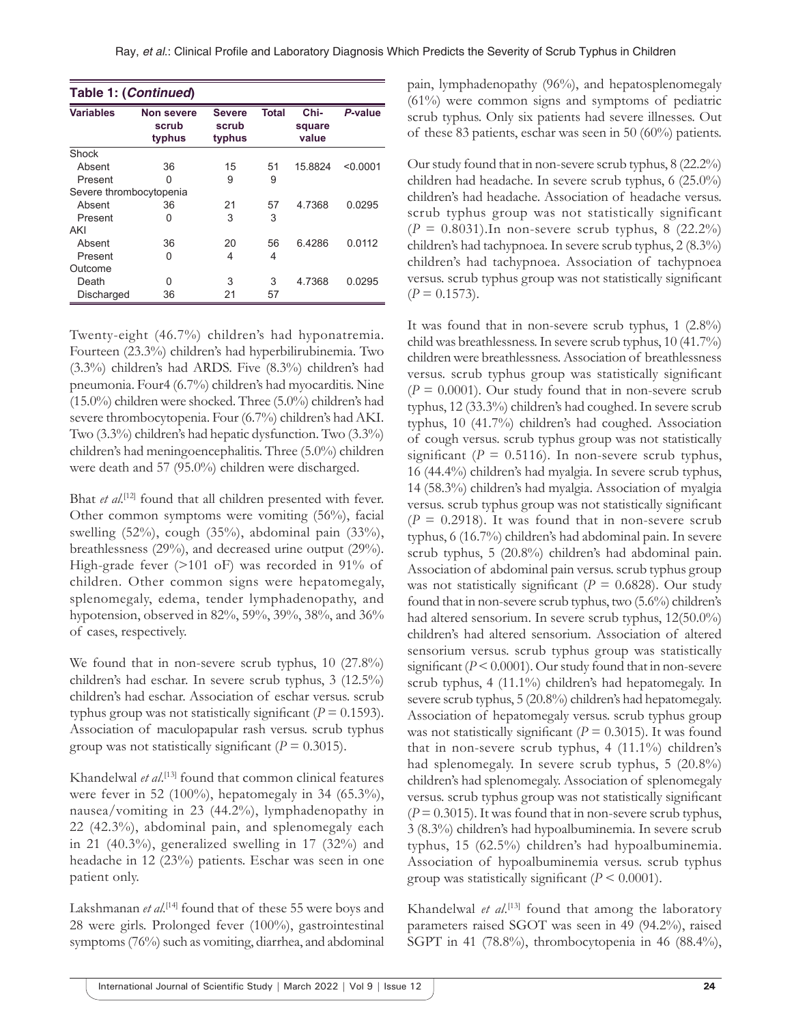| Table 1: (Continued)    |                                      |                                  |              |                         |          |  |  |
|-------------------------|--------------------------------------|----------------------------------|--------------|-------------------------|----------|--|--|
| <b>Variables</b>        | <b>Non severe</b><br>scrub<br>typhus | <b>Severe</b><br>scrub<br>typhus | <b>Total</b> | Chi-<br>square<br>value | P-value  |  |  |
| Shock                   |                                      |                                  |              |                         |          |  |  |
| Absent                  | 36                                   | 15                               | 51           | 15.8824                 | < 0.0001 |  |  |
| Present                 | O                                    | 9                                | 9            |                         |          |  |  |
| Severe thrombocytopenia |                                      |                                  |              |                         |          |  |  |
| Absent                  | 36                                   | 21                               | 57           | 4.7368                  | 0.0295   |  |  |
| Present                 | 0                                    | 3                                | 3            |                         |          |  |  |
| AKI                     |                                      |                                  |              |                         |          |  |  |
| Absent                  | 36                                   | 20                               | 56           | 64286                   | 0.0112   |  |  |
| Present                 | 0                                    | 4                                | 4            |                         |          |  |  |
| Outcome                 |                                      |                                  |              |                         |          |  |  |
| Death                   | U                                    | 3                                | 3            | 4.7368                  | 0.0295   |  |  |
| Discharged              | 36                                   | 21                               | 57           |                         |          |  |  |

Twenty-eight (46.7%) children's had hyponatremia. Fourteen (23.3%) children's had hyperbilirubinemia. Two (3.3%) children's had ARDS. Five (8.3%) children's had pneumonia. Four4 (6.7%) children's had myocarditis. Nine (15.0%) children were shocked. Three (5.0%) children's had severe thrombocytopenia. Four (6.7%) children's had AKI. Two (3.3%) children's had hepatic dysfunction. Two (3.3%) children's had meningoencephalitis. Three (5.0%) children were death and 57 (95.0%) children were discharged.

Bhat *et al.*<sup>[12]</sup> found that all children presented with fever. Other common symptoms were vomiting (56%), facial swelling (52%), cough (35%), abdominal pain (33%), breathlessness (29%), and decreased urine output (29%). High-grade fever (>101 oF) was recorded in 91% of children. Other common signs were hepatomegaly, splenomegaly, edema, tender lymphadenopathy, and hypotension, observed in 82%, 59%, 39%, 38%, and 36% of cases, respectively.

We found that in non-severe scrub typhus, 10  $(27.8\%)$ children's had eschar. In severe scrub typhus, 3 (12.5%) children's had eschar. Association of eschar versus. scrub typhus group was not statistically significant  $(P = 0.1593)$ . Association of maculopapular rash versus. scrub typhus group was not statistically significant ( $P = 0.3015$ ).

Khandelwal *et al*. [13] found that common clinical features were fever in 52 (100%), hepatomegaly in 34 (65.3%), nausea/vomiting in 23 (44.2%), lymphadenopathy in 22 (42.3%), abdominal pain, and splenomegaly each in 21 (40.3%), generalized swelling in 17 (32%) and headache in 12 (23%) patients. Eschar was seen in one patient only.

Lakshmanan *et al*.<sup>[14]</sup> found that of these 55 were boys and 28 were girls. Prolonged fever (100%), gastrointestinal symptoms (76%) such as vomiting, diarrhea, and abdominal

pain, lymphadenopathy (96%), and hepatosplenomegaly (61%) were common signs and symptoms of pediatric scrub typhus. Only six patients had severe illnesses. Out of these 83 patients, eschar was seen in 50 (60%) patients.

Our study found that in non-severe scrub typhus, 8 (22.2%) children had headache. In severe scrub typhus, 6 (25.0%) children's had headache. Association of headache versus. scrub typhus group was not statistically significant (*P* = 0.8031).In non-severe scrub typhus, 8 (22.2%) children's had tachypnoea. In severe scrub typhus, 2 (8.3%) children's had tachypnoea. Association of tachypnoea versus. scrub typhus group was not statistically significant  $(P = 0.1573)$ .

It was found that in non-severe scrub typhus, 1 (2.8%) child was breathlessness. In severe scrub typhus, 10 (41.7%) children were breathlessness. Association of breathlessness versus. scrub typhus group was statistically significant  $(P = 0.0001)$ . Our study found that in non-severe scrub typhus, 12 (33.3%) children's had coughed. In severe scrub typhus, 10 (41.7%) children's had coughed. Association of cough versus. scrub typhus group was not statistically significant ( $P = 0.5116$ ). In non-severe scrub typhus, 16 (44.4%) children's had myalgia. In severe scrub typhus, 14 (58.3%) children's had myalgia. Association of myalgia versus. scrub typhus group was not statistically significant  $(P = 0.2918)$ . It was found that in non-severe scrub typhus, 6 (16.7%) children's had abdominal pain. In severe scrub typhus, 5 (20.8%) children's had abdominal pain. Association of abdominal pain versus. scrub typhus group was not statistically significant ( $P = 0.6828$ ). Our study found that in non-severe scrub typhus, two (5.6%) children's had altered sensorium. In severe scrub typhus, 12(50.0%) children's had altered sensorium. Association of altered sensorium versus. scrub typhus group was statistically significant (*P* < 0.0001). Our study found that in non-severe scrub typhus, 4 (11.1%) children's had hepatomegaly. In severe scrub typhus, 5 (20.8%) children's had hepatomegaly. Association of hepatomegaly versus. scrub typhus group was not statistically significant ( $P = 0.3015$ ). It was found that in non-severe scrub typhus, 4 (11.1%) children's had splenomegaly. In severe scrub typhus, 5 (20.8%) children's had splenomegaly. Association of splenomegaly versus. scrub typhus group was not statistically significant  $(P = 0.3015)$ . It was found that in non-severe scrub typhus, 3 (8.3%) children's had hypoalbuminemia. In severe scrub typhus, 15 (62.5%) children's had hypoalbuminemia. Association of hypoalbuminemia versus. scrub typhus group was statistically significant  $(P < 0.0001)$ .

Khandelwal *et al*.<sup>[13]</sup> found that among the laboratory parameters raised SGOT was seen in 49 (94.2%), raised SGPT in 41 (78.8%), thrombocytopenia in 46 (88.4%),